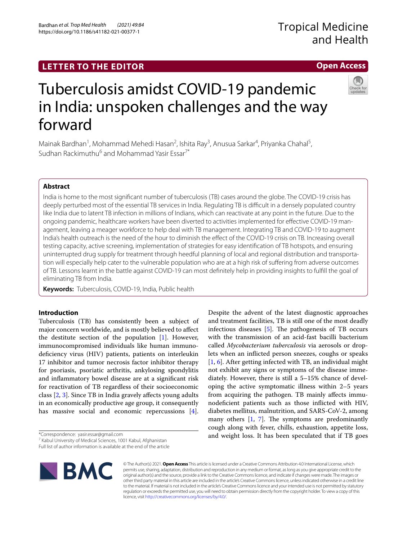# **LETTER TO THE EDITOR**

# Tuberculosis amidst COVID-19 pandemic in India: unspoken challenges and the way forward

Mainak Bardhan<sup>1</sup>, Mohammad Mehedi Hasan<sup>2</sup>, Ishita Ray<sup>3</sup>, Anusua Sarkar<sup>4</sup>, Priyanka Chahal<sup>5</sup>, Sudhan Rackimuthu<sup>6</sup> and Mohammad Yasir Essar<sup>7\*</sup>

# **Abstract**

India is home to the most signifcant number of tuberculosis (TB) cases around the globe. The COVID-19 crisis has deeply perturbed most of the essential TB services in India. Regulating TB is difficult in a densely populated country like India due to latent TB infection in millions of Indians, which can reactivate at any point in the future. Due to the ongoing pandemic, healthcare workers have been diverted to activities implemented for efective COVID-19 management, leaving a meager workforce to help deal with TB management. Integrating TB and COVID-19 to augment India's health outreach is the need of the hour to diminish the efect of the COVID-19 crisis on TB. Increasing overall testing capacity, active screening, implementation of strategies for easy identifcation of TB hotspots, and ensuring uninterrupted drug supply for treatment through heedful planning of local and regional distribution and transportation will especially help cater to the vulnerable population who are at a high risk of sufering from adverse outcomes of TB. Lessons learnt in the battle against COVID-19 can most defnitely help in providing insights to fulfll the goal of eliminating TB from India.

**Keywords:** Tuberculosis, COVID-19, India, Public health

# **Introduction**

Tuberculosis (TB) has consistently been a subject of major concern worldwide, and is mostly believed to afect the destitute section of the population [\[1](#page-3-0)]. However, immunocompromised individuals like human immunodeficiency virus (HIV) patients, patients on interleukin 17 inhibitor and tumor necrosis factor inhibitor therapy for psoriasis, psoriatic arthritis, ankylosing spondylitis and infammatory bowel disease are at a signifcant risk for reactivation of TB regardless of their socioeconomic class [[2](#page-3-1), [3](#page-3-2)]. Since TB in India gravely afects young adults in an economically productive age group, it consequently has massive social and economic repercussions [\[4](#page-3-3)].

\*Correspondence: yasir.essar@gmail.com

Full list of author information is available at the end of the article



© The Author(s) 2021. **Open Access** This article is licensed under a Creative Commons Attribution 4.0 International License, which permits use, sharing, adaptation, distribution and reproduction in any medium or format, as long as you give appropriate credit to the original author(s) and the source, provide a link to the Creative Commons licence, and indicate if changes were made. The images or other third party material in this article are included in the article's Creative Commons licence, unless indicated otherwise in a credit line to the material. If material is not included in the article's Creative Commons licence and your intended use is not permitted by statutory regulation or exceeds the permitted use, you will need to obtain permission directly from the copyright holder. To view a copy of this licence, visit [http://creativecommons.org/licenses/by/4.0/.](http://creativecommons.org/licenses/by/4.0/)

Despite the advent of the latest diagnostic approaches and treatment facilities, TB is still one of the most deadly infectious diseases  $[5]$  $[5]$ . The pathogenesis of TB occurs with the transmission of an acid-fast bacilli bacterium called *Mycobacterium tuberculosis* via aerosols or droplets when an inficted person sneezes, coughs or speaks [[1,](#page-3-0) [6](#page-3-5)]. After getting infected with TB, an individual might not exhibit any signs or symptoms of the disease immediately. However, there is still a 5–15% chance of developing the active symptomatic illness within 2–5 years from acquiring the pathogen. TB mainly afects immunodefcient patients such as those inficted with HIV, diabetes mellitus, malnutrition, and SARS-CoV-2, among many others  $[1, 7]$  $[1, 7]$  $[1, 7]$  $[1, 7]$ . The symptoms are predominantly cough along with fever, chills, exhaustion, appetite loss, and weight loss. It has been speculated that if TB goes





# **Open Access**

<sup>&</sup>lt;sup>7</sup> Kabul University of Medical Sciences, 1001 Kabul, Afghanistan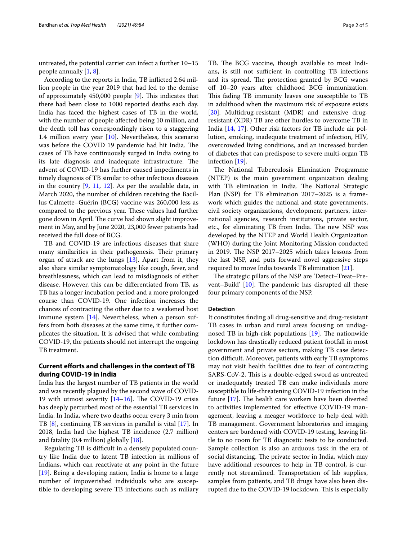untreated, the potential carrier can infect a further 10–15 people annually [[1,](#page-3-0) [8](#page-3-7)].

According to the reports in India, TB inficted 2.64 million people in the year 2019 that had led to the demise of approximately  $450,000$  people  $[9]$  $[9]$  $[9]$ . This indicates that there had been close to 1000 reported deaths each day. India has faced the highest cases of TB in the world, with the number of people afected being 10 million, and the death toll has correspondingly risen to a staggering 1.4 million every year [[10\]](#page-3-9). Nevertheless, this scenario was before the COVID 19 pandemic had hit India. The cases of TB have continuously surged in India owing to its late diagnosis and inadequate infrastructure. The advent of COVID-19 has further caused impediments in timely diagnosis of TB similar to other infectious diseases in the country [[9](#page-3-8), [11](#page-3-10), [12](#page-3-11)]. As per the available data, in March 2020, the number of children receiving the Bacillus Calmette–Guérin (BCG) vaccine was 260,000 less as compared to the previous year. These values had further gone down in April. The curve had shown slight improvement in May, and by June 2020, 23,000 fewer patients had received the full dose of BCG.

TB and COVID-19 are infectious diseases that share many similarities in their pathogenesis. Their primary organ of attack are the lungs [[13\]](#page-3-12). Apart from it, they also share similar symptomatology like cough, fever, and breathlessness, which can lead to misdiagnosis of either disease. However, this can be diferentiated from TB, as TB has a longer incubation period and a more prolonged course than COVID-19. One infection increases the chances of contracting the other due to a weakened host immune system [\[14\]](#page-3-13). Nevertheless, when a person suffers from both diseases at the same time, it further complicates the situation. It is advised that while combating COVID-19, the patients should not interrupt the ongoing TB treatment.

# **Current eforts and challenges in the context of TB during COVID‑19 in India**

India has the largest number of TB patients in the world and was recently plagued by the second wave of COVID-19 with utmost severity  $[14–16]$  $[14–16]$  $[14–16]$ . The COVID-19 crisis has deeply perturbed most of the essential TB services in India. In India, where two deaths occur every 3 min from TB [\[8](#page-3-7)], continuing TB services in parallel is vital [[17](#page-4-0)]. In 2018, India had the highest TB incidence (2.7 million) and fatality (0.4 million) globally [\[18\]](#page-4-1).

Regulating TB is difficult in a densely populated country like India due to latent TB infection in millions of Indians, which can reactivate at any point in the future [[19\]](#page-4-2). Being a developing nation, India is home to a large number of impoverished individuals who are susceptible to developing severe TB infections such as miliary TB. The BCG vaccine, though available to most Indians, is still not sufficient in controlling TB infections and its spread. The protection granted by BCG wanes off 10–20 years after childhood BCG immunization. This fading TB immunity leaves one susceptible to TB in adulthood when the maximum risk of exposure exists [[20\]](#page-4-3). Multidrug-resistant (MDR) and extensive drugresistant (XDR) TB are other hurdles to overcome TB in India [\[14](#page-3-13), [17\]](#page-4-0). Other risk factors for TB include air pollution, smoking, inadequate treatment of infection, HIV, overcrowded living conditions, and an increased burden of diabetes that can predispose to severe multi-organ TB infection [[19\]](#page-4-2).

The National Tuberculosis Elimination Programme (NTEP) is the main government organization dealing with TB elimination in India. The National Strategic Plan (NSP) for TB elimination 2017–2025 is a framework which guides the national and state governments, civil society organizations, development partners, international agencies, research institutions, private sector, etc., for eliminating TB from India. The new NSP was developed by the NTEP and World Health Organization (WHO) during the Joint Monitoring Mission conducted in 2019. The NSP 2017-2025 which takes lessons from the last NSP, and puts forward novel aggressive steps required to move India towards TB elimination [[21\]](#page-4-4).

The strategic pillars of the NSP are 'Detect-Treat-Prevent–Build'  $[10]$  $[10]$ . The pandemic has disrupted all these four primary components of the NSP.

#### **Detection**

It constitutes fnding all drug-sensitive and drug-resistant TB cases in urban and rural areas focusing on undiagnosed TB in high-risk populations  $[19]$  $[19]$ . The nationwide lockdown has drastically reduced patient footfall in most government and private sectors, making TB case detection difficult. Moreover, patients with early TB symptoms may not visit health facilities due to fear of contracting SARS-CoV-2. This is a double-edged sword as untreated or inadequately treated TB can make individuals more susceptible to life-threatening COVID-19 infection in the future  $[17]$  $[17]$ . The health care workers have been diverted to activities implemented for efective COVID-19 management, leaving a meager workforce to help deal with TB management. Government laboratories and imaging centers are burdened with COVID-19 testing, leaving little to no room for TB diagnostic tests to be conducted. Sample collection is also an arduous task in the era of social distancing. The private sector in India, which may have additional resources to help in TB control, is currently not streamlined. Transportation of lab supplies, samples from patients, and TB drugs have also been disrupted due to the COVID-19 lockdown. This is especially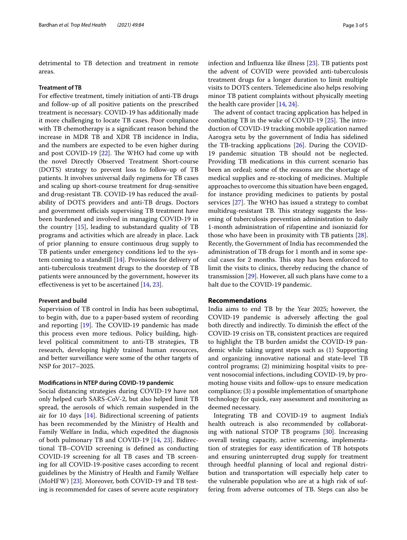detrimental to TB detection and treatment in remote areas.

#### **Treatment of TB**

For effective treatment, timely initiation of anti-TB drugs and follow-up of all positive patients on the prescribed treatment is necessary. COVID-19 has additionally made it more challenging to locate TB cases. Poor compliance with TB chemotherapy is a signifcant reason behind the increase in MDR TB and XDR TB incidence in India, and the numbers are expected to be even higher during and post COVID-19  $[22]$  $[22]$ . The WHO had come up with the novel Directly Observed Treatment Short-course (DOTS) strategy to prevent loss to follow-up of TB patients. It involves universal daily regimens for TB cases and scaling up short-course treatment for drug-sensitive and drug-resistant TB. COVID-19 has reduced the availability of DOTS providers and anti-TB drugs. Doctors and government officials supervising TB treatment have been burdened and involved in managing COVID-19 in the country [\[15](#page-3-15)], leading to substandard quality of TB programs and activities which are already in place. Lack of prior planning to ensure continuous drug supply to TB patients under emergency conditions led to the system coming to a standstill [[14\]](#page-3-13). Provisions for delivery of anti-tuberculosis treatment drugs to the doorstep of TB patients were announced by the government, however its efectiveness is yet to be ascertained [\[14,](#page-3-13) [23](#page-4-6)].

### **Prevent and build**

Supervision of TB control in India has been suboptimal, to begin with, due to a paper-based system of recording and reporting  $[19]$  $[19]$ . The COVID-19 pandemic has made this process even more tedious. Policy building, highlevel political commitment to anti-TB strategies, TB research, developing highly trained human resources, and better surveillance were some of the other targets of NSP for 2017–2025.

#### **Modifcations in NTEP during COVID‑19 pandemic**

Social distancing strategies during COVID-19 have not only helped curb SARS-CoV-2, but also helped limit TB spread, the aerosols of which remain suspended in the air for 10 days [\[14](#page-3-13)]. Bidirectional screening of patients has been recommended by the Ministry of Health and Family Welfare in India, which expedited the diagnosis of both pulmonary TB and COVID-19 [\[14](#page-3-13), [23](#page-4-6)]. Bidirectional TB–COVID screening is defned as conducting COVID-19 screening for all TB cases and TB screening for all COVID-19-positive cases according to recent guidelines by the Ministry of Health and Family Welfare (MoHFW) [[23\]](#page-4-6). Moreover, both COVID-19 and TB testing is recommended for cases of severe acute respiratory infection and Infuenza like illness [\[23\]](#page-4-6). TB patients post the advent of COVID were provided anti-tuberculosis treatment drugs for a longer duration to limit multiple visits to DOTS centers. Telemedicine also helps resolving minor TB patient complaints without physically meeting the health care provider [[14,](#page-3-13) [24\]](#page-4-7).

The advent of contact tracing application has helped in combating TB in the wake of COVID-19  $[25]$  $[25]$  $[25]$ . The introduction of COVID-19 tracking mobile application named Aarogya setu by the government of India has sidelined the TB-tracking applications [[26\]](#page-4-9). During the COVID-19 pandemic situation TB should not be neglected. Providing TB medications in this current scenario has been an ordeal; some of the reasons are the shortage of medical supplies and re-stocking of medicines. Multiple approaches to overcome this situation have been engaged, for instance providing medicines to patients by postal services  $[27]$  $[27]$ . The WHO has issued a strategy to combat multidrug-resistant TB. This strategy suggests the lessening of tuberculosis prevention administration to daily 1-month administration of rifapentine and isoniazid for those who have been in proximity with TB patients [\[28](#page-4-11)]. Recently, the Government of India has recommended the administration of TB drugs for 1 month and in some special cases for 2 months. This step has been enforced to limit the visits to clinics, thereby reducing the chance of transmission [[29\]](#page-4-12). However, all such plans have come to a halt due to the COVID-19 pandemic.

# **Recommendations**

India aims to end TB by the Year 2025; however, the COVID-19 pandemic is adversely afecting the goal both directly and indirectly. To diminish the efect of the COVID-19 crisis on TB, consistent practices are required to highlight the TB burden amidst the COVID-19 pandemic while taking urgent steps such as (1) Supporting and organizing innovative national and state-level TB control programs; (2) minimizing hospital visits to prevent nosocomial infections, including COVID-19, by promoting house visits and follow-ups to ensure medication compliance; (3) a possible implementation of smartphone technology for quick, easy assessment and monitoring as deemed necessary.

Integrating TB and COVID-19 to augment India's health outreach is also recommended by collaborating with national STOP TB programs [\[30\]](#page-4-13). Increasing overall testing capacity, active screening, implementation of strategies for easy identifcation of TB hotspots and ensuring uninterrupted drug supply for treatment through heedful planning of local and regional distribution and transportation will especially help cater to the vulnerable population who are at a high risk of suffering from adverse outcomes of TB. Steps can also be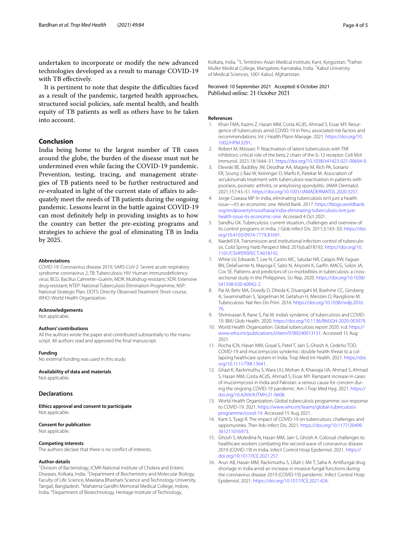undertaken to incorporate or modify the new advanced technologies developed as a result to manage COVID-19 with TB efectively.

It is pertinent to note that despite the difficulties faced as a result of the pandemic, targeted health approaches, structured social policies, safe mental health, and health equity of TB patients as well as others have to be taken into account.

# **Conclusion**

India being home to the largest number of TB cases around the globe, the burden of the disease must not be undermined even while facing the COVID-19 pandemic. Prevention, testing, tracing, and management strategies of TB patients need to be further restructured and re-evaluated in light of the current state of afairs to adequately meet the needs of TB patients during the ongoing pandemic. Lessons learnt in the battle against COVID-19 can most defnitely help in providing insights as to how the country can better the pre-existing programs and strategies to achieve the goal of eliminating TB in India by 2025.

#### **Abbreviations**

COVID-19: Coronavirus disease 2019; SARS-CoV-2: Severe acute respiratory syndrome coronavirus 2; TB: Tuberculosis; HIV: Human immunodefciency virus; BCG: Bacillus Calmette–Guérin; MDR: Multidrug-resistant; XDR: Extensive drug-resistant; NTEP: National Tuberculosis Elimination Programme; NSP: National Strategic Plan; DOTS: Directly Observed Treatment Short-course; WHO: World Health Organization.

#### **Acknowledgements**

Not applicable.

#### **Authors' contributions**

All the authors wrote the paper and contributed substantially to the manuscript. All authors read and approved the fnal manuscript.

#### **Funding**

No external funding was used in this study.

#### **Availability of data and materials**

Not applicable.

## **Declarations**

**Ethics approval and consent to participate** Not applicable.

#### **Consent for publication**

Not applicable.

#### **Competing interests**

The authors declare that there is no confict of interests.

#### **Author details**

<sup>1</sup> Division of Bacteriology, ICMR-National Institute of Cholera and Enteric Diseases, Kolkata, India. <sup>2</sup> Department of Biochemistry and Molecular Biology, Faculty of Life Science, Mawlana Bhashani Science and Technology University, Tangail, Bangladesh. <sup>3</sup>Mahatma Gandhi Memorial Medical College, Indore, India. 4 Department of Biotechnology, Heritage Institute of Technology,

Kolkata, India. <sup>5</sup>S. Tentishev Asian Medical Institute, Kant, Kyrgyzstan. <sup>6</sup>Father Muller Medical College, Mangalore, Karnataka, India. 7 Kabul University of Medical Sciences, 1001 Kabul, Afghanistan.

Received: 10 September 2021 Accepted: 6 October 2021 Published online: 21 October 2021

#### **References**

- <span id="page-3-0"></span>1. Khan FMA, Kazmi Z, Hasan MM, Costa ACdS, Ahmad S, Essar MY. Resurgence of tuberculosis amid COVID-19 in Peru: associated risk factors and recommendations. Int J Health Plann Manage. 2021. [https://doi.org/10.](https://doi.org/10.1002/HPM.3291) [1002/HPM.3291](https://doi.org/10.1002/HPM.3291).
- <span id="page-3-1"></span>2. Robert M, Miossec P. Reactivation of latent tuberculosis with TNF inhibitors: critical role of the beta 2 chain of the IL-12 receptor. Cell Mol Immunol. 2021;18:1644–51. [https://doi.org/10.1038/s41423-021-00694-9.](https://doi.org/10.1038/s41423-021-00694-9)
- <span id="page-3-2"></span>3. Elewski BE, Baddley JW, Deodhar AA, Magrey M, Rich PA, Soriano ER, Soung J, Bao W, Keininger D, Marfo K, Patekar M. Association of secukinumab treatment with tuberculosis reactivation in patients with psoriasis, psoriatic arthritis, or ankylosing spondylitis. JAMA Dermatol. 2021;157:43–51.<https://doi.org/10.1001/JAMADERMATOL.2020.3257>.
- <span id="page-3-3"></span>4. Jorge Coarasa MP. In India, eliminating tuberculosis isn't just a health issue—it's an economic one. World Bank. 2017. [https://blogs.worldbank.](https://blogs.worldbank.org/endpovertyinsouthasia/india-eliminating-tuberculosis-isnt-just-health-issue-its-economic-one) [org/endpovertyinsouthasia/india-eliminating-tuberculosis-isnt-just](https://blogs.worldbank.org/endpovertyinsouthasia/india-eliminating-tuberculosis-isnt-just-health-issue-its-economic-one)[health-issue-its-economic-one](https://blogs.worldbank.org/endpovertyinsouthasia/india-eliminating-tuberculosis-isnt-just-health-issue-its-economic-one). Accessed 4 Oct 2021.
- <span id="page-3-4"></span>5. Sandhu GK. Tuberculosis: current situation, challenges and overview of its control programs in India. J Glob Infect Dis. 2011;3:143–50. [https://doi.](https://doi.org/10.4103/0974-777X.81691) [org/10.4103/0974-777X.81691](https://doi.org/10.4103/0974-777X.81691).
- <span id="page-3-5"></span>6. Nardell EA. Transmission and institutional infection control of tuberculosis. Cold Spring Harb Perspect Med. 2016;6:a018192. [https://doi.org/10.](https://doi.org/10.1101/CSHPERSPECT.A018192) [1101/CSHPERSPECT.A018192.](https://doi.org/10.1101/CSHPERSPECT.A018192)
- <span id="page-3-6"></span>7. White LV, Edwards T, Lee N, Castro MC, Saludar NR, Calapis RW, Faguer BN, DelaFuente N, Mayoga F, Saito N, Ariyoshi K, Garfn AMCG, Solon JA, Cox SE. Patterns and predictors of co-morbidities in tuberculosis: a crosssectional study in the Philippines. Sci Rep. 2020. [https://doi.org/10.1038/](https://doi.org/10.1038/S41598-020-60942-2) [S41598-020-60942-2](https://doi.org/10.1038/S41598-020-60942-2).
- <span id="page-3-7"></span>8. Pai M, Behr MA, Dowdy D, Dheda K, Divangahi M, Boehme CC, Ginsberg A, Swaminathan S, Spigelman M, Getahun H, Menzies D, Raviglione M. Tuberculosis. Nat Rev Dis Prim. 2016. [https://doi.org/10.1038/nrdp.2016.](https://doi.org/10.1038/nrdp.2016.76) [76](https://doi.org/10.1038/nrdp.2016.76).
- <span id="page-3-8"></span>9. Shrinivasan R, Rane S, Pai M. India's syndemic of tuberculosis and COVID-19. BMJ Glob Health. 2020. [https://doi.org/10.1136/BMJGH-2020-003979.](https://doi.org/10.1136/BMJGH-2020-003979)
- <span id="page-3-9"></span>10. World Health Organization. Global tuberculosis report 2020. n.d. [https://](https://www.who.int/publications/i/item/9789240013131) [www.who.int/publications/i/item/9789240013131.](https://www.who.int/publications/i/item/9789240013131) Accessed 15 Aug 2021.
- <span id="page-3-10"></span>11. Rocha ICN, Hasan MM, Goyal S, Patel T, Jain S, Ghosh A, Cedeño TDD. COVID-19 and mucormycosis syndemic: double health threat to a collapsing healthcare system in India. Trop Med Int Health. 2021. [https://doi.](https://doi.org/10.1111/TMI.13641) [org/10.1111/TMI.13641.](https://doi.org/10.1111/TMI.13641)
- <span id="page-3-11"></span>12. Ghazi K, Rackimuthu S, Wara UU, Mohan A, Khawaja UA, Ahmad S, Ahmad S, Hasan MM, Costa ACdS, Ahmad S, Essar MY. Rampant increase in cases of mucormycosis in India and Pakistan: a serious cause for concern during the ongoing COVID-19 pandemic. Am J Trop Med Hyg. 2021. [https://](https://doi.org/10.4269/AJTMH.21-0608) [doi.org/10.4269/AJTMH.21-0608](https://doi.org/10.4269/AJTMH.21-0608).
- <span id="page-3-12"></span>13. World Health Organization. Global tuberculosis programme: our response to COVID-19. 2021. [https://www.who.int/teams/global-tuberculosis](https://www.who.int/teams/global-tuberculosis-programme/covid-19)[programme/covid-19](https://www.who.int/teams/global-tuberculosis-programme/covid-19). Accessed 15 Aug 2021.
- <span id="page-3-13"></span>14. Kant S, Tyagi R. The impact of COVID-19 on tuberculosis: challenges and opportunities. Ther Adv Infect Dis. 2021. [https://doi.org/10.1177/20499](https://doi.org/10.1177/20499361211016973) [361211016973.](https://doi.org/10.1177/20499361211016973)
- <span id="page-3-15"></span>15. Ghosh S, Moledina N, Hasan MM, Jain S, Ghosh A. Colossal challenges to healthcare workers combating the second wave of coronavirus disease 2019 (COVID-19) in India. Infect Control Hosp Epidemiol. 2021. [https://](https://doi.org/10.1017/ICE.2021.257) [doi.org/10.1017/ICE.2021.257.](https://doi.org/10.1017/ICE.2021.257)
- <span id="page-3-14"></span>16. Arun AB, Hasan MM, Rackimuthu S, Ullah I, Mir T, Saha A. Antifungal drug shortage in India amid an increase in invasive fungal functions during the coronavirus disease 2019 (COVID-19) pandemic. Infect Control Hosp Epidemiol. 2021. [https://doi.org/10.1017/ICE.2021.426.](https://doi.org/10.1017/ICE.2021.426)